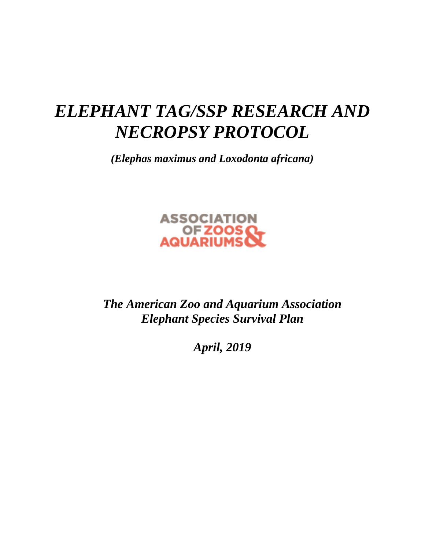# *ELEPHANT TAG/SSP RESEARCH AND NECROPSY PROTOCOL*

*(Elephas maximus and Loxodonta africana)*



*The American Zoo and Aquarium Association Elephant Species Survival Plan*

*April, 2019*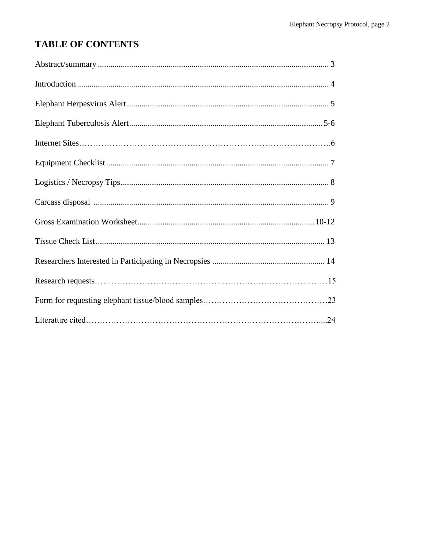## **TABLE OF CONTENTS**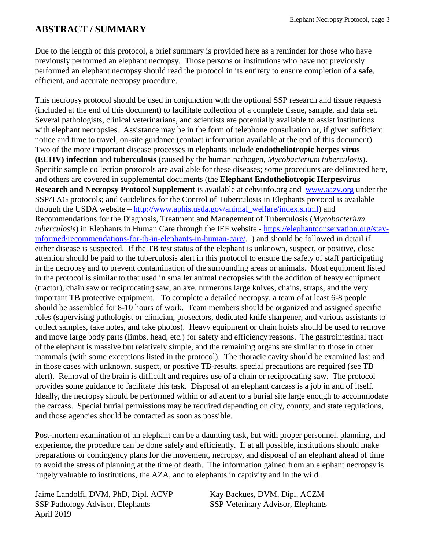## **ABSTRACT / SUMMARY**

Due to the length of this protocol, a brief summary is provided here as a reminder for those who have previously performed an elephant necropsy. Those persons or institutions who have not previously performed an elephant necropsy should read the protocol in its entirety to ensure completion of a **safe**, efficient, and accurate necropsy procedure.

This necropsy protocol should be used in conjunction with the optional SSP research and tissue requests (included at the end of this document) to facilitate collection of a complete tissue, sample, and data set. Several pathologists, clinical veterinarians, and scientists are potentially available to assist institutions with elephant necropsies. Assistance may be in the form of telephone consultation or, if given sufficient notice and time to travel, on-site guidance (contact information available at the end of this document). Two of the more important disease processes in elephants include **endotheliotropic herpes virus (EEHV) infection** and **tuberculosis** (caused by the human pathogen, *Mycobacterium tuberculosis*). Specific sample collection protocols are available for these diseases; some procedures are delineated here, and others are covered in supplemental documents (the **Elephant Endotheliotropic Herpesvirus Research and Necropsy Protocol Supplement** is available at eehvinfo.org and [www.aazv.org](http://www.aazv.org/) under the SSP/TAG protocols; and Guidelines for the Control of Tuberculosis in Elephants protocol is available through the USDA website – [http://www.aphis.usda.gov/animal\\_welfare/index.shtml\)](http://www.aphis.usda.gov/animal_welfare/index.shtml) and Recommendations for the Diagnosis, Treatment and Management of Tuberculosis (*Mycobacterium tuberculosis*) in Elephants in Human Care through the IEF website - [https://elephantconservation.org/stay](https://elephantconservation.org/stay-informed/recommendations-for-tb-in-elephants-in-human-care/)[informed/recommendations-for-tb-in-elephants-in-human-care/.](https://elephantconservation.org/stay-informed/recommendations-for-tb-in-elephants-in-human-care/) ) and should be followed in detail if either disease is suspected. If the TB test status of the elephant is unknown, suspect, or positive, close attention should be paid to the tuberculosis alert in this protocol to ensure the safety of staff participating in the necropsy and to prevent contamination of the surrounding areas or animals. Most equipment listed in the protocol is similar to that used in smaller animal necropsies with the addition of heavy equipment (tractor), chain saw or reciprocating saw, an axe, numerous large knives, chains, straps, and the very important TB protective equipment. To complete a detailed necropsy, a team of at least 6-8 people should be assembled for 8-10 hours of work. Team members should be organized and assigned specific roles (supervising pathologist or clinician, prosectors, dedicated knife sharpener, and various assistants to collect samples, take notes, and take photos). Heavy equipment or chain hoists should be used to remove and move large body parts (limbs, head, etc.) for safety and efficiency reasons. The gastrointestinal tract of the elephant is massive but relatively simple, and the remaining organs are similar to those in other mammals (with some exceptions listed in the protocol). The thoracic cavity should be examined last and in those cases with unknown, suspect, or positive TB-results, special precautions are required (see TB alert). Removal of the brain is difficult and requires use of a chain or reciprocating saw. The protocol provides some guidance to facilitate this task. Disposal of an elephant carcass is a job in and of itself. Ideally, the necropsy should be performed within or adjacent to a burial site large enough to accommodate the carcass. Special burial permissions may be required depending on city, county, and state regulations, and those agencies should be contacted as soon as possible.

Post-mortem examination of an elephant can be a daunting task, but with proper personnel, planning, and experience, the procedure can be done safely and efficiently. If at all possible, institutions should make preparations or contingency plans for the movement, necropsy, and disposal of an elephant ahead of time to avoid the stress of planning at the time of death. The information gained from an elephant necropsy is hugely valuable to institutions, the AZA, and to elephants in captivity and in the wild.

Jaime Landolfi, DVM, PhD, Dipl. ACVP Kay Backues, DVM, Dipl. ACZM SSP Pathology Advisor, Elephants SSP Veterinary Advisor, Elephants April 2019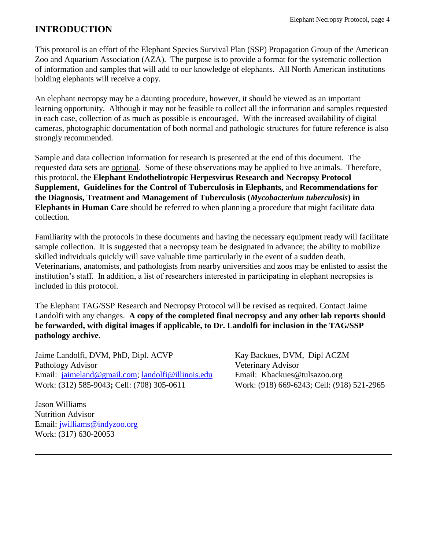## **INTRODUCTION**

This protocol is an effort of the Elephant Species Survival Plan (SSP) Propagation Group of the American Zoo and Aquarium Association (AZA). The purpose is to provide a format for the systematic collection of information and samples that will add to our knowledge of elephants. All North American institutions holding elephants will receive a copy.

An elephant necropsy may be a daunting procedure, however, it should be viewed as an important learning opportunity. Although it may not be feasible to collect all the information and samples requested in each case, collection of as much as possible is encouraged. With the increased availability of digital cameras, photographic documentation of both normal and pathologic structures for future reference is also strongly recommended.

Sample and data collection information for research is presented at the end of this document.The requested data sets are optional. Some of these observations may be applied to live animals. Therefore, this protocol, the **Elephant Endotheliotropic Herpesvirus Research and Necropsy Protocol Supplement, Guidelines for the Control of Tuberculosis in Elephants,** and **Recommendations for the Diagnosis, Treatment and Management of Tuberculosis (***Mycobacterium tuberculosis***) in Elephants in Human Care** should be referred to when planning a procedure that might facilitate data collection.

Familiarity with the protocols in these documents and having the necessary equipment ready will facilitate sample collection. It is suggested that a necropsy team be designated in advance; the ability to mobilize skilled individuals quickly will save valuable time particularly in the event of a sudden death. Veterinarians, anatomists, and pathologists from nearby universities and zoos may be enlisted to assist the institution's staff. In addition, a list of researchers interested in participating in elephant necropsies is included in this protocol.

The Elephant TAG/SSP Research and Necropsy Protocol will be revised as required. Contact Jaime Landolfi with any changes. **A copy of the completed final necropsy and any other lab reports should be forwarded, with digital images if applicable, to Dr. Landolfi for inclusion in the TAG/SSP pathology archive**.

Jaime Landolfi, DVM, PhD, Dipl. ACVP Kay Backues, DVM, Dipl ACZM Pathology Advisor Veterinary Advisor Email: [jaimeland@gmail.com;](mailto:jaimeland@gmail.com) [landolfi@illinois.edu](mailto:landolfi@illinois.edu) Email: Kbackues@tulsazoo.org Work: (312) 585-9043**;** Cell: (708) 305-0611 Work: (918) 669-6243; Cell: (918) 521-2965

Jason Williams Nutrition Advisor Email: [jwilliams@indyzoo.org](mailto:jwilliams@indyzoo.org) Work: (317) 630-20053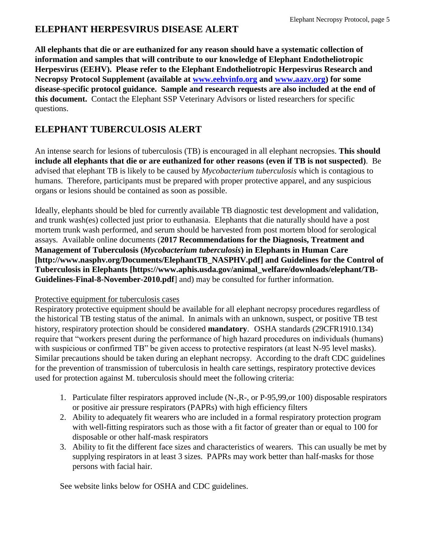## **ELEPHANT HERPESVIRUS DISEASE ALERT**

**All elephants that die or are euthanized for any reason should have a systematic collection of information and samples that will contribute to our knowledge of Elephant Endotheliotropic Herpesvirus (EEHV). Please refer to the Elephant Endotheliotropic Herpesvirus Research and Necropsy Protocol Supplement (available at [www.eehvinfo.org](http://www.eehvinfo.org/) and [www.aazv.org\)](http://www.aazv.org/) for some disease-specific protocol guidance. Sample and research requests are also included at the end of this document.** Contact the Elephant SSP Veterinary Advisors or listed researchers for specific questions.

## **ELEPHANT TUBERCULOSIS ALERT**

An intense search for lesions of tuberculosis (TB) is encouraged in all elephant necropsies. **This should include all elephants that die or are euthanized for other reasons (even if TB is not suspected)**. Be advised that elephant TB is likely to be caused by *Mycobacterium tuberculosis* which is contagious to humans. Therefore, participants must be prepared with proper protective apparel, and any suspicious organs or lesions should be contained as soon as possible.

Ideally, elephants should be bled for currently available TB diagnostic test development and validation, and trunk wash(es) collected just prior to euthanasia. Elephants that die naturally should have a post mortem trunk wash performed, and serum should be harvested from post mortem blood for serological assays. Available online documents (**2017 Recommendations for the Diagnosis, Treatment and Management of Tuberculosis (***Mycobacterium tuberculosis***) in Elephants in Human Care [http://www.nasphv.org/Documents/ElephantTB\_NASPHV.pdf] and Guidelines for the Control of Tuberculosis in Elephants [https://www.aphis.usda.gov/animal\_welfare/downloads/elephant/TB-Guidelines-Final-8-November-2010.pdf**] and) may be consulted for further information.

### Protective equipment for tuberculosis cases

Respiratory protective equipment should be available for all elephant necropsy procedures regardless of the historical TB testing status of the animal. In animals with an unknown, suspect, or positive TB test history, respiratory protection should be considered **mandatory**. OSHA standards (29CFR1910.134) require that "workers present during the performance of high hazard procedures on individuals (humans) with suspicious or confirmed TB" be given access to protective respirators (at least N-95 level masks). Similar precautions should be taken during an elephant necropsy. According to the draft CDC guidelines for the prevention of transmission of tuberculosis in health care settings, respiratory protective devices used for protection against M. tuberculosis should meet the following criteria:

- 1. Particulate filter respirators approved include (N-,R-, or P-95,99,or 100) disposable respirators or positive air pressure respirators (PAPRs) with high efficiency filters
- 2. Ability to adequately fit wearers who are included in a formal respiratory protection program with well-fitting respirators such as those with a fit factor of greater than or equal to 100 for disposable or other half-mask respirators
- 3. Ability to fit the different face sizes and characteristics of wearers. This can usually be met by supplying respirators in at least 3 sizes. PAPRs may work better than half-masks for those persons with facial hair.

See website links below for OSHA and CDC guidelines.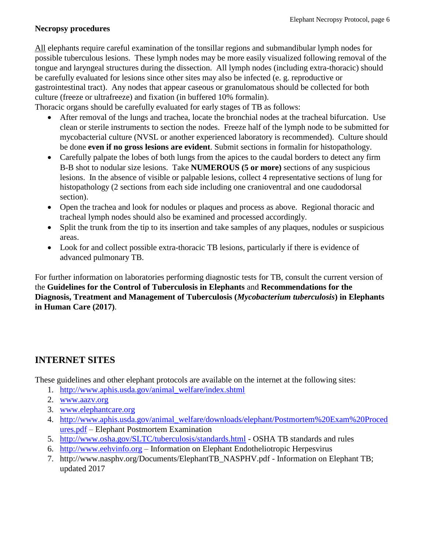#### **Necropsy procedures**

All elephants require careful examination of the tonsillar regions and submandibular lymph nodes for possible tuberculous lesions. These lymph nodes may be more easily visualized following removal of the tongue and laryngeal structures during the dissection. All lymph nodes (including extra-thoracic) should be carefully evaluated for lesions since other sites may also be infected (e. g. reproductive or gastrointestinal tract). Any nodes that appear caseous or granulomatous should be collected for both culture (freeze or ultrafreeze) and fixation (in buffered 10% formalin).

Thoracic organs should be carefully evaluated for early stages of TB as follows:

- After removal of the lungs and trachea, locate the bronchial nodes at the tracheal bifurcation. Use clean or sterile instruments to section the nodes. Freeze half of the lymph node to be submitted for mycobacterial culture (NVSL or another experienced laboratory is recommended). Culture should be done **even if no gross lesions are evident**. Submit sections in formalin for histopathology.
- Carefully palpate the lobes of both lungs from the apices to the caudal borders to detect any firm B-B shot to nodular size lesions. Take **NUMEROUS (5 or more)** sections of any suspicious lesions. In the absence of visible or palpable lesions, collect 4 representative sections of lung for histopathology (2 sections from each side including one cranioventral and one caudodorsal section).
- Open the trachea and look for nodules or plaques and process as above. Regional thoracic and tracheal lymph nodes should also be examined and processed accordingly.
- Split the trunk from the tip to its insertion and take samples of any plaques, nodules or suspicious areas.
- Look for and collect possible extra-thoracic TB lesions, particularly if there is evidence of advanced pulmonary TB.

For further information on laboratories performing diagnostic tests for TB, consult the current version of the **Guidelines for the Control of Tuberculosis in Elephants** and **Recommendations for the Diagnosis, Treatment and Management of Tuberculosis (***Mycobacterium tuberculosis***) in Elephants in Human Care (2017)**.

## **INTERNET SITES**

These guidelines and other elephant protocols are available on the internet at the following sites:

- 1. [http://www.aphis.usda.gov/animal\\_welfare/index.shtml](http://www.aphis.usda.gov/animal_welfare/index.shtml)
- 2. [www.aazv.org](http://www.aazv.org/)
- 3. [www.elephantcare.org](http://www.elephantcare.org/)
- 4. [http://www.aphis.usda.gov/animal\\_welfare/downloads/elephant/Postmortem%20Exam%20Proced](http://www.aphis.usda.gov/animal_welfare/downloads/elephant/Postmortem%20Exam%20Procedures.pdf) [ures.pdf](http://www.aphis.usda.gov/animal_welfare/downloads/elephant/Postmortem%20Exam%20Procedures.pdf) – Elephant Postmortem Examination
- 5. <http://www.osha.gov/SLTC/tuberculosis/standards.html> OSHA TB standards and rules
- 6. [http://www.eehvinfo.org](http://www.eehvinfo.org/) Information on Elephant Endotheliotropic Herpesvirus
- 7. http://www.nasphv.org/Documents/ElephantTB\_NASPHV.pdf Information on Elephant TB; updated 2017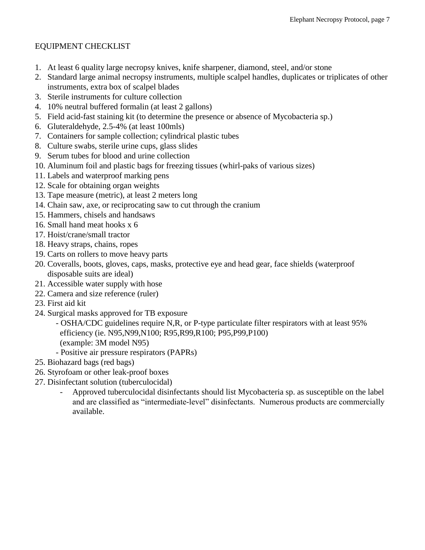#### EQUIPMENT CHECKLIST

- 1. At least 6 quality large necropsy knives, knife sharpener, diamond, steel, and/or stone
- 2. Standard large animal necropsy instruments, multiple scalpel handles, duplicates or triplicates of other instruments, extra box of scalpel blades
- 3. Sterile instruments for culture collection
- 4. 10% neutral buffered formalin (at least 2 gallons)
- 5. Field acid-fast staining kit (to determine the presence or absence of Mycobacteria sp.)
- 6. Gluteraldehyde, 2.5-4% (at least 100mls)
- 7. Containers for sample collection; cylindrical plastic tubes
- 8. Culture swabs, sterile urine cups, glass slides
- 9. Serum tubes for blood and urine collection
- 10. Aluminum foil and plastic bags for freezing tissues (whirl-paks of various sizes)
- 11. Labels and waterproof marking pens
- 12. Scale for obtaining organ weights
- 13. Tape measure (metric), at least 2 meters long
- 14. Chain saw, axe, or reciprocating saw to cut through the cranium
- 15. Hammers, chisels and handsaws
- 16. Small hand meat hooks x 6
- 17. Hoist/crane/small tractor
- 18. Heavy straps, chains, ropes
- 19. Carts on rollers to move heavy parts
- 20. Coveralls, boots, gloves, caps, masks, protective eye and head gear, face shields (waterproof disposable suits are ideal)
- 21. Accessible water supply with hose
- 22. Camera and size reference (ruler)
- 23. First aid kit
- 24. Surgical masks approved for TB exposure
	- OSHA/CDC guidelines require N,R, or P-type particulate filter respirators with at least 95% efficiency (ie. N95,N99,N100; R95,R99,R100; P95,P99,P100) (example: 3M model N95)
	- Positive air pressure respirators (PAPRs)
- 25. Biohazard bags (red bags)
- 26. Styrofoam or other leak-proof boxes
- 27. Disinfectant solution (tuberculocidal)
	- Approved tuberculocidal disinfectants should list Mycobacteria sp. as susceptible on the label and are classified as "intermediate-level" disinfectants. Numerous products are commercially available.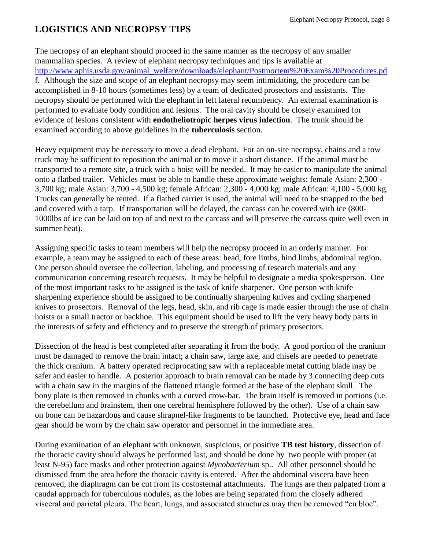## **LOGISTICS AND NECROPSY TIPS**

The necropsy of an elephant should proceed in the same manner as the necropsy of any smaller mammalian species. A review of elephant necropsy techniques and tips is available at [http://www.aphis.usda.gov/animal\\_welfare/downloads/elephant/Postmortem%20Exam%20Procedures.pd](http://www.aphis.usda.gov/animal_welfare/downloads/elephant/Postmortem%20Exam%20Procedures.pdf) [f.](http://www.aphis.usda.gov/animal_welfare/downloads/elephant/Postmortem%20Exam%20Procedures.pdf) Although the size and scope of an elephant necropsy may seem intimidating, the procedure can be accomplished in 8-10 hours (sometimes less) by a team of dedicated prosectors and assistants. The necropsy should be performed with the elephant in left lateral recumbency. An external examination is performed to evaluate body condition and lesions. The oral cavity should be closely examined for evidence of lesions consistent with **endotheliotropic herpes virus infection**. The trunk should be examined according to above guidelines in the **tuberculosis** section.

Heavy equipment may be necessary to move a dead elephant. For an on-site necropsy, chains and a tow truck may be sufficient to reposition the animal or to move it a short distance. If the animal must be transported to a remote site, a truck with a hoist will be needed. It may be easier to manipulate the animal onto a flatbed trailer. Vehicles must be able to handle these approximate weights: female Asian: 2,300 - 3,700 kg; male Asian: 3,700 - 4,500 kg; female African: 2,300 - 4,000 kg; male African: 4,100 - 5,000 kg. Trucks can generally be rented. If a flatbed carrier is used, the animal will need to be strapped to the bed and covered with a tarp. If transportation will be delayed, the carcass can be covered with ice (800- 1000lbs of ice can be laid on top of and next to the carcass and will preserve the carcass quite well even in summer heat).

Assigning specific tasks to team members will help the necropsy proceed in an orderly manner. For example, a team may be assigned to each of these areas: head, fore limbs, hind limbs, abdominal region. One person should oversee the collection, labeling, and processing of research materials and any communication concerning research requests. It may be helpful to designate a media spokesperson. One of the most important tasks to be assigned is the task of knife sharpener. One person with knife sharpening experience should be assigned to be continually sharpening knives and cycling sharpened knives to prosectors. Removal of the legs, head, skin, and rib cage is made easier through the use of chain hoists or a small tractor or backhoe. This equipment should be used to lift the very heavy body parts in the interests of safety and efficiency and to preserve the strength of primary prosectors.

Dissection of the head is best completed after separating it from the body. A good portion of the cranium must be damaged to remove the brain intact; a chain saw, large axe, and chisels are needed to penetrate the thick cranium. A battery operated reciprocating saw with a replaceable metal cutting blade may be safer and easier to handle. A posterior approach to brain removal can be made by 3 connecting deep cuts with a chain saw in the margins of the flattened triangle formed at the base of the elephant skull. The bony plate is then removed in chunks with a curved crow-bar. The brain itself is removed in portions (i.e. the cerebellum and brainstem, then one cerebral hemisphere followed by the other). Use of a chain saw on bone can be hazardous and cause shrapnel-like fragments to be launched. Protective eye, head and face gear should be worn by the chain saw operator and personnel in the immediate area.

During examination of an elephant with unknown, suspicious, or positive **TB test history**, dissection of the thoracic cavity should always be performed last, and should be done by two people with proper (at least N-95) face masks and other protection against *Mycobacterium* sp.. All other personnel should be dismissed from the area before the thoracic cavity is entered. After the abdominal viscera have been removed, the diaphragm can be cut from its costosternal attachments. The lungs are then palpated from a caudal approach for tuberculous nodules, as the lobes are being separated from the closely adhered visceral and parietal pleura. The heart, lungs, and associated structures may then be removed "en bloc".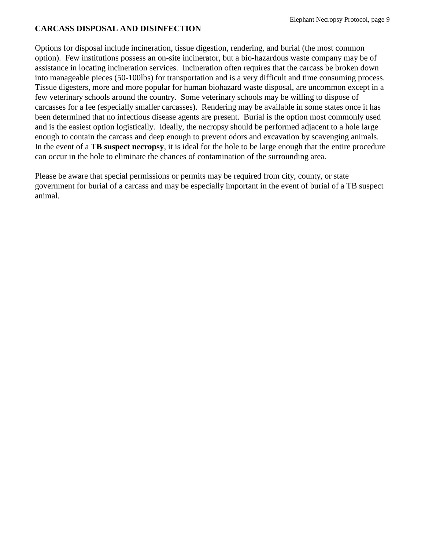#### **CARCASS DISPOSAL AND DISINFECTION**

Options for disposal include incineration, tissue digestion, rendering, and burial (the most common option). Few institutions possess an on-site incinerator, but a bio-hazardous waste company may be of assistance in locating incineration services. Incineration often requires that the carcass be broken down into manageable pieces (50-100lbs) for transportation and is a very difficult and time consuming process. Tissue digesters, more and more popular for human biohazard waste disposal, are uncommon except in a few veterinary schools around the country. Some veterinary schools may be willing to dispose of carcasses for a fee (especially smaller carcasses). Rendering may be available in some states once it has been determined that no infectious disease agents are present. Burial is the option most commonly used and is the easiest option logistically. Ideally, the necropsy should be performed adjacent to a hole large enough to contain the carcass and deep enough to prevent odors and excavation by scavenging animals. In the event of a **TB suspect necropsy**, it is ideal for the hole to be large enough that the entire procedure can occur in the hole to eliminate the chances of contamination of the surrounding area.

Please be aware that special permissions or permits may be required from city, county, or state government for burial of a carcass and may be especially important in the event of burial of a TB suspect animal.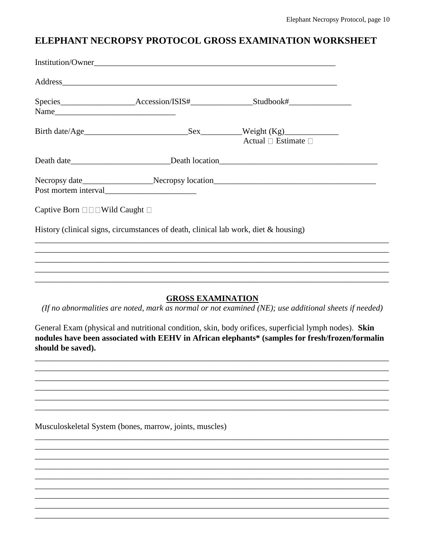## ELEPHANT NECROPSY PROTOCOL GROSS EXAMINATION WORKSHEET

|                                                              | Address                                                                                |                                                                                                       |
|--------------------------------------------------------------|----------------------------------------------------------------------------------------|-------------------------------------------------------------------------------------------------------|
|                                                              |                                                                                        | Species_________________________Accession/ISIS#____________________Studbook#_______________________   |
|                                                              |                                                                                        |                                                                                                       |
|                                                              |                                                                                        | Actual $\Box$ Estimate $\Box$                                                                         |
|                                                              |                                                                                        |                                                                                                       |
|                                                              |                                                                                        |                                                                                                       |
| Captive Born $\square \square \square$ Wild Caught $\square$ |                                                                                        |                                                                                                       |
|                                                              | History (clinical signs, circumstances of death, clinical lab work, diet $\&$ housing) |                                                                                                       |
|                                                              |                                                                                        | ,我们也不能在这里的人,我们也不能在这里的人,我们也不能在这里的人,我们也不能在这里的人,我们也不能在这里的人,我们也不能在这里的人,我们也不能在这里的人,我们也                     |
|                                                              |                                                                                        | ,我们也不能在这里的人,我们也不能在这里的人,我们也不能在这里的人,我们也不能在这里的人,我们也不能在这里的人,我们也不能在这里的人,我们也不能在这里的人,我们也                     |
|                                                              | <b>GROSS EXAMINATION</b>                                                               | (If no abnormalities are noted, mark as normal or not examined (NE); use additional sheets if needed) |

General Exam (physical and nutritional condition, skin, body orifices, superficial lymph nodes). Skin nodules have been associated with EEHV in African elephants\* (samples for fresh/frozen/formalin should be saved).

Musculoskeletal System (bones, marrow, joints, muscles)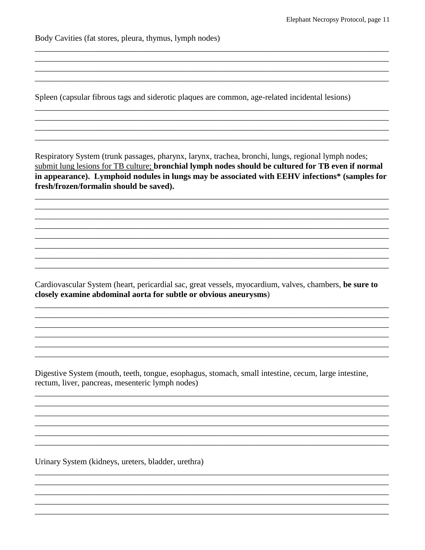Body Cavities (fat stores, pleura, thymus, lymph nodes)

Spleen (capsular fibrous tags and siderotic plaques are common, age-related incidental lesions)

Respiratory System (trunk passages, pharynx, larynx, trachea, bronchi, lungs, regional lymph nodes; submit lung lesions for TB culture; bronchial lymph nodes should be cultured for TB even if normal in appearance). Lymphoid nodules in lungs may be associated with EEHV infections\* (samples for fresh/frozen/formalin should be saved).

Cardiovascular System (heart, pericardial sac, great vessels, myocardium, valves, chambers, be sure to closely examine abdominal aorta for subtle or obvious aneurysms)

Digestive System (mouth, teeth, tongue, esophagus, stomach, small intestine, cecum, large intestine, rectum, liver, pancreas, mesenteric lymph nodes)

Urinary System (kidneys, ureters, bladder, urethra)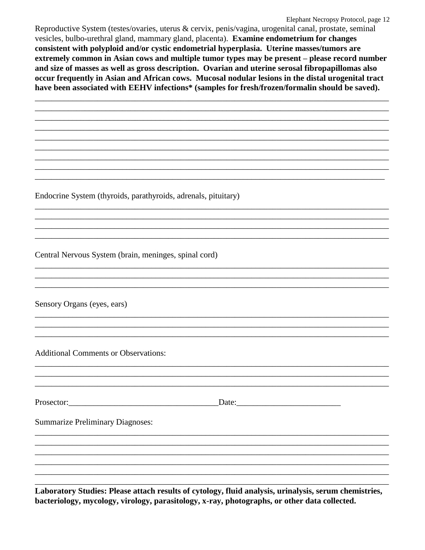#### Elephant Necropsy Protocol, page 12

Reproductive System (testes/ovaries, uterus & cervix, penis/vagina, urogenital canal, prostate, seminal vesicles, bulbo-urethral gland, mammary gland, placenta). Examine endometrium for changes consistent with polyploid and/or cystic endometrial hyperplasia. Uterine masses/tumors are extremely common in Asian cows and multiple tumor types may be present – please record number and size of masses as well as gross description. Ovarian and uterine serosal fibropapillomas also occur frequently in Asian and African cows. Mucosal nodular lesions in the distal urogenital tract have been associated with EEHV infections\* (samples for fresh/frozen/formalin should be saved).

Endocrine System (thyroids, parathyroids, adrenals, pituitary)

Central Nervous System (brain, meninges, spinal cord)

Sensory Organs (eyes, ears)

**Additional Comments or Observations:** 

Prosector: Date: Date:

**Summarize Preliminary Diagnoses:** 

Laboratory Studies: Please attach results of cytology, fluid analysis, urinalysis, serum chemistries, bacteriology, mycology, virology, parasitology, x-ray, photographs, or other data collected.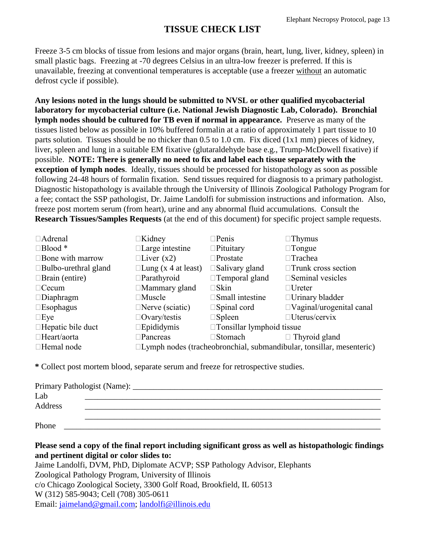## **TISSUE CHECK LIST**

Freeze 3-5 cm blocks of tissue from lesions and major organs (brain, heart, lung, liver, kidney, spleen) in small plastic bags. Freezing at -70 degrees Celsius in an ultra-low freezer is preferred. If this is unavailable, freezing at conventional temperatures is acceptable (use a freezer without an automatic defrost cycle if possible).

**Any lesions noted in the lungs should be submitted to NVSL or other qualified mycobacterial laboratory for mycobacterial culture (i.e. National Jewish Diagnostic Lab, Colorado). Bronchial lymph nodes should be cultured for TB even if normal in appearance.** Preserve as many of the tissues listed below as possible in 10% buffered formalin at a ratio of approximately 1 part tissue to 10 parts solution. Tissues should be no thicker than 0.5 to 1.0 cm. Fix diced (1x1 mm) pieces of kidney, liver, spleen and lung in a suitable EM fixative (glutaraldehyde base e.g., Trump-McDowell fixative) if possible. **NOTE: There is generally no need to fix and label each tissue separately with the exception of lymph nodes**. Ideally, tissues should be processed for histopathology as soon as possible following 24-48 hours of formalin fixation. Send tissues required for diagnosis to a primary pathologist. Diagnostic histopathology is available through the University of Illinois Zoological Pathology Program for a fee; contact the SSP pathologist, Dr. Jaime Landolfi for submission instructions and information. Also, freeze post mortem serum (from heart), urine and any abnormal fluid accumulations. Consult the **Research Tissues/Samples Requests** (at the end of this document) for specific project sample requests.

| □Adrenal                    | $\Box$ Kidney                                                               | $\Box$ Penis                     | $\Box$ Thymus                   |
|-----------------------------|-----------------------------------------------------------------------------|----------------------------------|---------------------------------|
| $\Box$ Blood *              | $\Box$ Large intestine                                                      | $\Box$ Pituitary                 | $\Box$ Tongue                   |
| $\square$ Bone with marrow  | $\Box$ Liver (x2)                                                           | $\Box$ Prostate                  | $\Box$ Trachea                  |
| $\Box$ Bulbo-urethral gland | $\Box$ Lung (x 4 at least)                                                  | $\square$ Salivary gland         | $\Box$ Trunk cross section      |
| $\Box$ Brain (entire)       | $\Box$ Parathyroid                                                          | □Temporal gland                  | $\square$ Seminal vesicles      |
| $\Box$ Cecum                | $\Box$ Mammary gland                                                        | $\square$ Skin                   | $\Box$ Ureter                   |
| $\Box$ Diaphragm            | $\square$ Muscle                                                            | $\square$ Small intestine        | $\Box$ Urinary bladder          |
| $\square$ Esophagus         | $\Box$ Nerve (sciatic)                                                      | $\square$ Spinal cord            | $\Box$ Vaginal/urogenital canal |
| $\square$ Eye               | $\Box$ Ovary/testis                                                         | $\square$ Spleen                 | □ Uterus/cervix                 |
| $\Box$ Hepatic bile duct    | $\square$ Epididymis                                                        | $\Box$ Tonsillar lymphoid tissue |                                 |
| □Heart/aorta                | $\square$ Pancreas                                                          | □Stomach                         | $\Box$ Thyroid gland            |
| □Hemal node                 | $\Box$ Lymph nodes (tracheobronchial, submandibular, tonsillar, mesenteric) |                                  |                                 |

**\*** Collect post mortem blood, separate serum and freeze for retrospective studies.

| Primary Pathologist (Name): _ |  |  |  |  |
|-------------------------------|--|--|--|--|
| Lab                           |  |  |  |  |
| Address                       |  |  |  |  |
|                               |  |  |  |  |
| Phone                         |  |  |  |  |

**Please send a copy of the final report including significant gross as well as histopathologic findings and pertinent digital or color slides to:**

Jaime Landolfi, DVM, PhD, Diplomate ACVP; SSP Pathology Advisor, Elephants Zoological Pathology Program, University of Illinois c/o Chicago Zoological Society, 3300 Golf Road, Brookfield, IL 60513 W (312) 585-9043; Cell (708) 305-0611 Email: [jaimeland@gmail.com;](mailto:jaimeland@gmail.com) [landolfi@illinois.edu](mailto:landolfi@illinois.edu)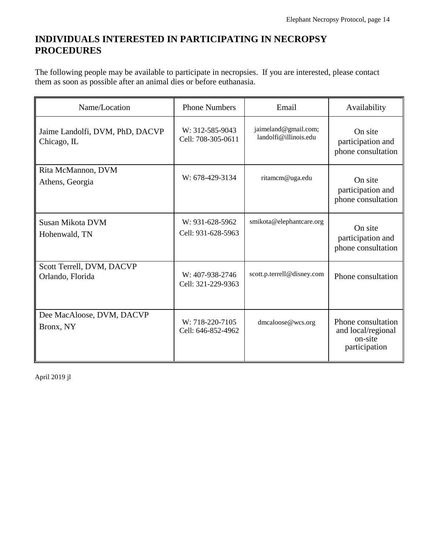## **INDIVIDUALS INTERESTED IN PARTICIPATING IN NECROPSY PROCEDURES**

The following people may be available to participate in necropsies. If you are interested, please contact them as soon as possible after an animal dies or before euthanasia.

| Name/Location                                  | <b>Phone Numbers</b>                  | Email                                         | Availability                                                         |
|------------------------------------------------|---------------------------------------|-----------------------------------------------|----------------------------------------------------------------------|
| Jaime Landolfi, DVM, PhD, DACVP<br>Chicago, IL | W: 312-585-9043<br>Cell: 708-305-0611 | jaimeland@gmail.com;<br>landolfi@illinois.edu | On site<br>participation and<br>phone consultation                   |
| Rita McMannon, DVM<br>Athens, Georgia          | W: 678-429-3134                       | ritamcm@uga.edu                               | On site<br>participation and<br>phone consultation                   |
| Susan Mikota DVM<br>Hohenwald, TN              | W: 931-628-5962<br>Cell: 931-628-5963 | smikota@elephantcare.org                      | On site<br>participation and<br>phone consultation                   |
| Scott Terrell, DVM, DACVP<br>Orlando, Florida  | W: 407-938-2746<br>Cell: 321-229-9363 | scott.p.terrell@disney.com                    | Phone consultation                                                   |
| Dee MacAloose, DVM, DACVP<br>Bronx, NY         | W: 718-220-7105<br>Cell: 646-852-4962 | dmcaloose@wcs.org                             | Phone consultation<br>and local/regional<br>on-site<br>participation |

April 2019 jl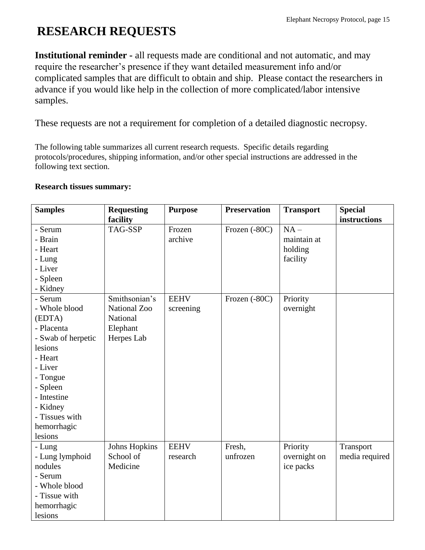## **RESEARCH REQUESTS**

**Institutional reminder -** all requests made are conditional and not automatic, and may require the researcher's presence if they want detailed measurement info and/or complicated samples that are difficult to obtain and ship. Please contact the researchers in advance if you would like help in the collection of more complicated/labor intensive samples.

These requests are not a requirement for completion of a detailed diagnostic necropsy.

The following table summarizes all current research requests. Specific details regarding protocols/procedures, shipping information, and/or other special instructions are addressed in the following text section.

#### **Research tissues summary:**

| <b>Samples</b>     | <b>Requesting</b>    | <b>Purpose</b> | <b>Preservation</b> | <b>Transport</b> | <b>Special</b> |
|--------------------|----------------------|----------------|---------------------|------------------|----------------|
|                    | facility             |                |                     |                  | instructions   |
| - Serum            | TAG-SSP              | Frozen         | Frozen (-80C)       | $NA -$           |                |
| - Brain            |                      | archive        |                     | maintain at      |                |
| - Heart            |                      |                |                     | holding          |                |
| - Lung             |                      |                |                     | facility         |                |
| - Liver            |                      |                |                     |                  |                |
| - Spleen           |                      |                |                     |                  |                |
| - Kidney           |                      |                |                     |                  |                |
| - Serum            | Smithsonian's        | <b>EEHV</b>    | Frozen (-80C)       | Priority         |                |
| - Whole blood      | <b>National Zoo</b>  | screening      |                     | overnight        |                |
| (EDTA)             | National             |                |                     |                  |                |
| - Placenta         | Elephant             |                |                     |                  |                |
| - Swab of herpetic | Herpes Lab           |                |                     |                  |                |
| lesions            |                      |                |                     |                  |                |
| - Heart            |                      |                |                     |                  |                |
| - Liver            |                      |                |                     |                  |                |
| - Tongue           |                      |                |                     |                  |                |
| - Spleen           |                      |                |                     |                  |                |
| - Intestine        |                      |                |                     |                  |                |
| - Kidney           |                      |                |                     |                  |                |
| - Tissues with     |                      |                |                     |                  |                |
| hemorrhagic        |                      |                |                     |                  |                |
| lesions            |                      |                |                     |                  |                |
| - Lung             | <b>Johns Hopkins</b> | <b>EEHV</b>    | Fresh,              | Priority         | Transport      |
| - Lung lymphoid    | School of            | research       | unfrozen            | overnight on     | media required |
| nodules            | Medicine             |                |                     | ice packs        |                |
| - Serum            |                      |                |                     |                  |                |
| - Whole blood      |                      |                |                     |                  |                |
| - Tissue with      |                      |                |                     |                  |                |
| hemorrhagic        |                      |                |                     |                  |                |
| lesions            |                      |                |                     |                  |                |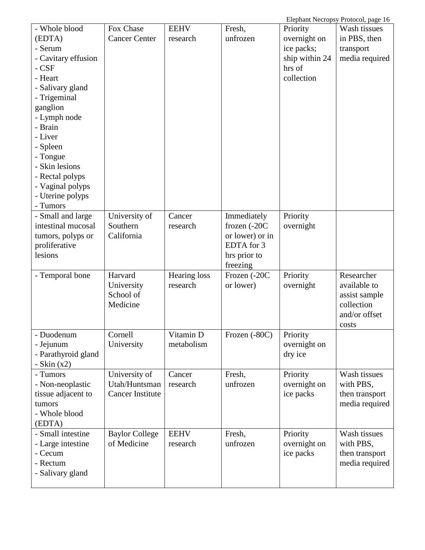Elephant Necropsy Protocol, page 16

| - Whole blood       | Fox Chase               | <b>EEHV</b>  | Fresh,          | Priority       | Wash tissues   |
|---------------------|-------------------------|--------------|-----------------|----------------|----------------|
| (EDTA)              | <b>Cancer Center</b>    | research     | unfrozen        | overnight on   | in PBS, then   |
| - Serum             |                         |              |                 | ice packs;     | transport      |
| - Cavitary effusion |                         |              |                 | ship within 24 | media required |
| $-CSF$              |                         |              |                 | hrs of         |                |
| - Heart             |                         |              |                 | collection     |                |
| - Salivary gland    |                         |              |                 |                |                |
| - Trigeminal        |                         |              |                 |                |                |
| ganglion            |                         |              |                 |                |                |
| - Lymph node        |                         |              |                 |                |                |
| - Brain             |                         |              |                 |                |                |
| - Liver             |                         |              |                 |                |                |
| - Spleen            |                         |              |                 |                |                |
| - Tongue            |                         |              |                 |                |                |
| - Skin lesions      |                         |              |                 |                |                |
| - Rectal polyps     |                         |              |                 |                |                |
| - Vaginal polyps    |                         |              |                 |                |                |
| - Uterine polyps    |                         |              |                 |                |                |
| - Tumors            |                         |              |                 |                |                |
| - Small and large   | University of           | Cancer       | Immediately     | Priority       |                |
| intestinal mucosal  | Southern                | research     | frozen (-20C    | overnight      |                |
| tumors, polyps or   | California              |              | or lower) or in |                |                |
| proliferative       |                         |              | EDTA for 3      |                |                |
| lesions             |                         |              | hrs prior to    |                |                |
|                     |                         |              | freezing        |                |                |
| - Temporal bone     | Harvard                 | Hearing loss | Frozen (-20C    | Priority       | Researcher     |
|                     | University              | research     | or lower)       | overnight      | available to   |
|                     | School of               |              |                 |                | assist sample  |
|                     | Medicine                |              |                 |                | collection     |
|                     |                         |              |                 |                | and/or offset  |
|                     |                         |              |                 |                | costs          |
| Duodenum            | Cornell                 | Vitamin D    | Frozen (-80C)   | Priority       |                |
| - Jejunum           | University              | metabolism   |                 | overnight on   |                |
| - Parathyroid gland |                         |              |                 | dry ice        |                |
| - Skin $(x2)$       |                         |              |                 |                |                |
| - Tumors            | University of           | Cancer       | Fresh,          | Priority       | Wash tissues   |
| - Non-neoplastic    | Utah/Huntsman           | research     | unfrozen        | overnight on   | with PBS,      |
| tissue adjacent to  | <b>Cancer Institute</b> |              |                 | ice packs      | then transport |
| tumors              |                         |              |                 |                | media required |
| - Whole blood       |                         |              |                 |                |                |
| (EDTA)              |                         |              |                 |                |                |
| - Small intestine   | <b>Baylor College</b>   | <b>EEHV</b>  | Fresh,          | Priority       | Wash tissues   |
| - Large intestine   | of Medicine             | research     | unfrozen        | overnight on   | with PBS,      |
| - Cecum             |                         |              |                 | ice packs      | then transport |
| - Rectum            |                         |              |                 |                | media required |
| - Salivary gland    |                         |              |                 |                |                |
|                     |                         |              |                 |                |                |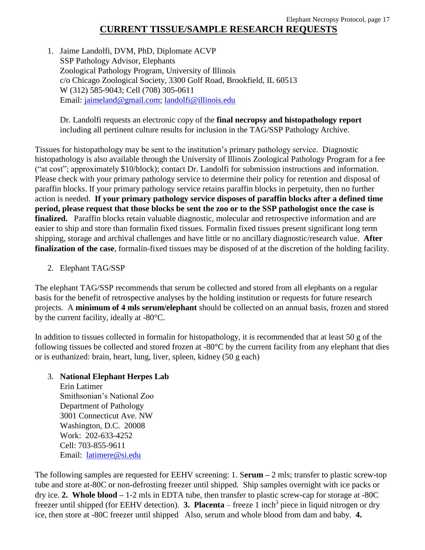1. Jaime Landolfi, DVM, PhD, Diplomate ACVP SSP Pathology Advisor, Elephants Zoological Pathology Program, University of Illinois c/o Chicago Zoological Society, 3300 Golf Road, Brookfield, IL 60513 W (312) 585-9043; Cell (708) 305-0611 Email: [jaimeland@gmail.com;](mailto:jaimeland@gmail.com) [landolfi@illinois.edu](mailto:landolfi@illinois.edu)

Dr. Landolfi requests an electronic copy of the **final necropsy and histopathology report** including all pertinent culture results for inclusion in the TAG/SSP Pathology Archive.

Tissues for histopathology may be sent to the institution's primary pathology service. Diagnostic histopathology is also available through the University of Illinois Zoological Pathology Program for a fee ("at cost"; approximately \$10/block); contact Dr. Landolfi for submission instructions and information. Please check with your primary pathology service to determine their policy for retention and disposal of paraffin blocks. If your primary pathology service retains paraffin blocks in perpetuity, then no further action is needed. **If your primary pathology service disposes of paraffin blocks after a defined time period, please request that those blocks be sent the zoo or to the SSP pathologist once the case is finalized.** Paraffin blocks retain valuable diagnostic, molecular and retrospective information and are easier to ship and store than formalin fixed tissues. Formalin fixed tissues present significant long term shipping, storage and archival challenges and have little or no ancillary diagnostic/research value. **After finalization of the case**, formalin-fixed tissues may be disposed of at the discretion of the holding facility.

2. Elephant TAG/SSP

The elephant TAG/SSP recommends that serum be collected and stored from all elephants on a regular basis for the benefit of retrospective analyses by the holding institution or requests for future research projects. A **minimum of 4 mls serum/elephant** should be collected on an annual basis, frozen and stored by the current facility, ideally at -80°C.

In addition to tissues collected in formalin for histopathology, it is recommended that at least 50 g of the following tissues be collected and stored frozen at -80°C by the current facility from any elephant that dies or is euthanized: brain, heart, lung, liver, spleen, kidney (50 g each)

### 3. **National Elephant Herpes Lab**

Erin Latimer Smithsonian's National Zoo Department of Pathology 3001 Connecticut Ave. NW Washington, D.C. 20008 Work: 202-633-4252 Cell: 703-855-9611 Email: [latimere@si.edu](mailto:latimere@si.edu)

The following samples are requested for EEHV screening: 1. S**erum –** 2 mls; transfer to plastic screw-top tube and store at-80C or non-defrosting freezer until shipped. Ship samples overnight with ice packs or dry ice. **2. Whole blood –** 1-2 mls in EDTA tube, then transfer to plastic screw-cap for storage at -80C freezer until shipped (for EEHV detection). **3. Placenta** – freeze 1 inch<sup>3</sup> piece in liquid nitrogen or dry ice, then store at -80C freezer until shipped Also, serum and whole blood from dam and baby. **4.**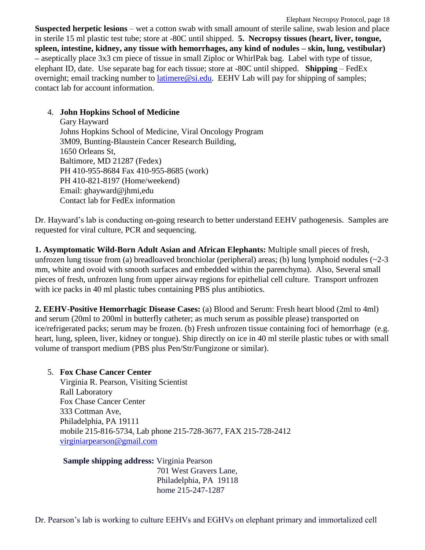Elephant Necropsy Protocol, page 18 **Suspected herpetic lesions** – wet a cotton swab with small amount of sterile saline, swab lesion and place in sterile 15 ml plastic test tube; store at -80C until shipped. **5. Necropsy tissues (heart, liver, tongue, spleen, intestine, kidney, any tissue with hemorrhages, any kind of nodules – skin, lung, vestibular) –** aseptically place 3x3 cm piece of tissue in small Ziploc or WhirlPak bag. Label with type of tissue, elephant ID, date. Use separate bag for each tissue; store at -80C until shipped. **Shipping** – FedEx overnight; email tracking number to [latimere@si.edu.](mailto:latimere@si.edu) EEHV Lab will pay for shipping of samples; contact lab for account information.

#### 4. **John Hopkins School of Medicine**

Gary Hayward Johns Hopkins School of Medicine, Viral Oncology Program 3M09, Bunting-Blaustein Cancer Research Building, 1650 Orleans St, Baltimore, MD 21287 (Fedex) PH 410-955-8684 Fax 410-955-8685 (work) PH 410-821-8197 (Home/weekend) Email: ghayward@jhmi,edu Contact lab for FedEx information

Dr. Hayward's lab is conducting on-going research to better understand EEHV pathogenesis. Samples are requested for viral culture, PCR and sequencing.

**1. Asymptomatic Wild-Born Adult Asian and African Elephants:** Multiple small pieces of fresh, unfrozen lung tissue from (a) breadloaved bronchiolar (peripheral) areas; (b) lung lymphoid nodules  $(\sim 2-3$ mm, white and ovoid with smooth surfaces and embedded within the parenchyma). Also, Several small pieces of fresh, unfrozen lung from upper airway regions for epithelial cell culture. Transport unfrozen with ice packs in 40 ml plastic tubes containing PBS plus antibiotics.

**2. EEHV-Positive Hemorrhagic Disease Cases:** (a) Blood and Serum: Fresh heart blood (2ml to 4ml) and serum (20ml to 200ml in butterfly catheter; as much serum as possible please) transported on ice/refrigerated packs; serum may be frozen. (b) Fresh unfrozen tissue containing foci of hemorrhage (e.g. heart, lung, spleen, liver, kidney or tongue). Ship directly on ice in 40 ml sterile plastic tubes or with small volume of transport medium (PBS plus Pen/Str/Fungizone or similar).

### 5. **Fox Chase Cancer Center**

Virginia R. Pearson, Visiting Scientist Rall Laboratory Fox Chase Cancer Center 333 Cottman Ave, Philadelphia, PA 19111 mobile 215-816-5734, Lab phone 215-728-3677, FAX 215-728-2412 [virginiarpearson@gmail.com](mailto:virginiapearson@gmail.com)

**Sample shipping address:** Virginia Pearson 701 West Gravers Lane, Philadelphia, PA 19118 home 215-247-1287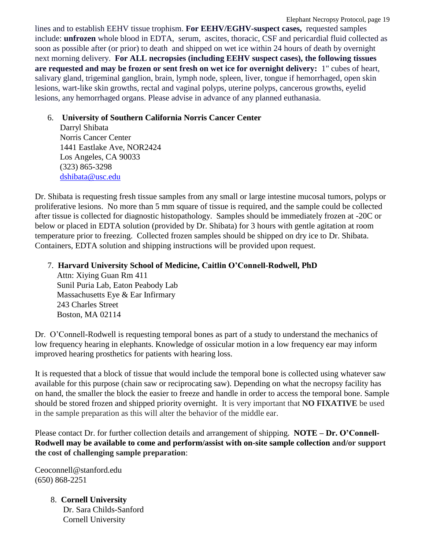lines and to establish EEHV tissue trophism. **For EEHV/EGHV-suspect cases,** requested samples include: **unfrozen** whole blood in EDTA, serum, ascites, thoracic, CSF and pericardial fluid collected as soon as possible after (or prior) to death and shipped on wet ice within 24 hours of death by overnight next morning delivery. **For ALL necropsies (including EEHV suspect cases), the following tissues are requested and may be frozen or sent fresh on wet ice for overnight delivery:** 1" cubes of heart, salivary gland, trigeminal ganglion, brain, lymph node, spleen, liver, tongue if hemorrhaged, open skin lesions, wart-like skin growths, rectal and vaginal polyps, uterine polyps, cancerous growths, eyelid lesions, any hemorrhaged organs. Please advise in advance of any planned euthanasia.

#### 6. **University of Southern California Norris Cancer Center**

Darryl Shibata Norris Cancer Center 1441 Eastlake Ave, NOR2424 Los Angeles, CA 90033 (323) 865-3298 [dshibata@usc.edu](mailto:dshibata@usc.edu)

Dr. Shibata is requesting fresh tissue samples from any small or large intestine mucosal tumors, polyps or proliferative lesions. No more than 5 mm square of tissue is required, and the sample could be collected after tissue is collected for diagnostic histopathology. Samples should be immediately frozen at -20C or below or placed in EDTA solution (provided by Dr. Shibata) for 3 hours with gentle agitation at room temperature prior to freezing. Collected frozen samples should be shipped on dry ice to Dr. Shibata. Containers, EDTA solution and shipping instructions will be provided upon request.

## 7. **Harvard University School of Medicine, Caitlin O'Connell-Rodwell, PhD**

Attn: Xiying Guan Rm 411 Sunil Puria Lab, Eaton Peabody Lab Massachusetts Eye & Ear Infirmary 243 Charles Street Boston, MA 02114

Dr. O'Connell-Rodwell is requesting temporal bones as part of a study to understand the mechanics of low frequency hearing in elephants. Knowledge of ossicular motion in a low frequency ear may inform improved hearing prosthetics for patients with hearing loss.

It is requested that a block of tissue that would include the temporal bone is collected using whatever saw available for this purpose (chain saw or reciprocating saw). Depending on what the necropsy facility has on hand, the smaller the block the easier to freeze and handle in order to access the temporal bone. Sample should be stored frozen and shipped priority overnight. It is very important that **NO FIXATIVE** be used in the sample preparation as this will alter the behavior of the middle ear.

Please contact Dr. for further collection details and arrangement of shipping. **NOTE – Dr. O'Connell-Rodwell may be available to come and perform/assist with on-site sample collection and/or support the cost of challenging sample preparation**:

Ceoconnell@stanford.edu (650) 868-2251

> 8. **Cornell University** Dr. Sara Childs-Sanford

Cornell University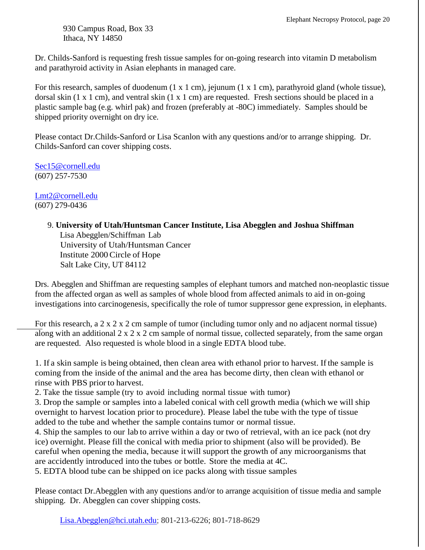930 Campus Road, Box 33 Ithaca, NY 14850

Dr. Childs-Sanford is requesting fresh tissue samples for on-going research into vitamin D metabolism and parathyroid activity in Asian elephants in managed care.

For this research, samples of duodenum (1 x 1 cm), jejunum (1 x 1 cm), parathyroid gland (whole tissue), dorsal skin (1 x 1 cm), and ventral skin (1 x 1 cm) are requested. Fresh sections should be placed in a plastic sample bag (e.g. whirl pak) and frozen (preferably at -80C) immediately. Samples should be shipped priority overnight on dry ice.

Please contact Dr.Childs-Sanford or Lisa Scanlon with any questions and/or to arrange shipping. Dr. Childs-Sanford can cover shipping costs.

[Sec15@cornell.edu](mailto:Sec15@cornell.edu) (607) 257-7530

[Lmt2@cornell.edu](mailto:Lmt2@cornell.edu) (607) 279-0436

#### 9. **University of Utah/Huntsman Cancer Institute, Lisa Abegglen and Joshua Shiffman**

Lisa Abegglen/Schiffman Lab University of Utah/Huntsman Cancer Institute 2000Circle of Hope Salt Lake City, UT 84112

Drs. Abegglen and Shiffman are requesting samples of elephant tumors and matched non-neoplastic tissue from the affected organ as well as samples of whole blood from affected animals to aid in on-going investigations into carcinogenesis, specifically the role of tumor suppressor gene expression, in elephants.

For this research, a 2 x 2 x 2 cm sample of tumor (including tumor only and no adjacent normal tissue) along with an additional 2 x 2 x 2 cm sample of normal tissue, collected separately, from the same organ are requested. Also requested is whole blood in a single EDTA blood tube.

1. If a skin sample is being obtained, then clean area with ethanol prior to harvest. If the sample is coming from the inside of the animal and the area has become dirty, then clean with ethanol or rinse with PBS prior to harvest.

2. Take the tissue sample (try to avoid including normal tissue with tumor)

3. Drop the sample or samples into a labeled conical with cell growth media (which we will ship overnight to harvest location prior to procedure). Please label the tube with the type of tissue added to the tube and whether the sample contains tumor or normal tissue.

4. Ship the samples to our lab to arrive within a day or two of retrieval, with an ice pack (not dry ice) overnight. Please fill the conical with media prior to shipment (also will be provided). Be careful when opening the media, because it will support the growth of any microorganisms that are accidently introduced into the tubes or bottle. Store the media at 4C.

5. EDTA blood tube can be shipped on ice packs along with tissue samples

Please contact Dr.Abegglen with any questions and/or to arrange acquisition of tissue media and sample shipping. Dr. Abegglen can cover shipping costs.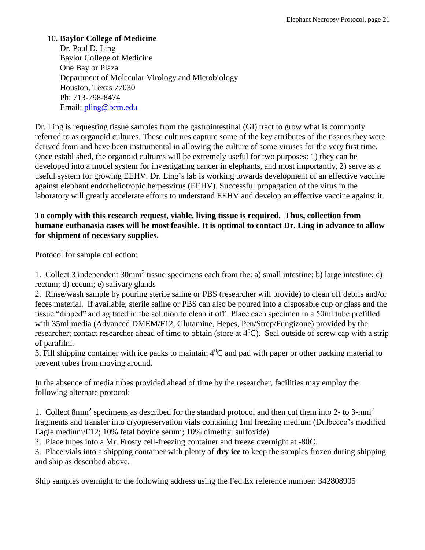#### 10. **Baylor College of Medicine**

Dr. Paul D. Ling Baylor College of Medicine One Baylor Plaza Department of Molecular Virology and Microbiology Houston, Texas 77030 Ph: 713-798-8474 Email: [pling@bcm.edu](mailto:pling@bcm.edu)

Dr. Ling is requesting tissue samples from the gastrointestinal (GI) tract to grow what is commonly referred to as organoid cultures. These cultures capture some of the key attributes of the tissues they were derived from and have been instrumental in allowing the culture of some viruses for the very first time. Once established, the organoid cultures will be extremely useful for two purposes: 1) they can be developed into a model system for investigating cancer in elephants, and most importantly, 2) serve as a useful system for growing EEHV. Dr. Ling's lab is working towards development of an effective vaccine against elephant endotheliotropic herpesvirus (EEHV). Successful propagation of the virus in the laboratory will greatly accelerate efforts to understand EEHV and develop an effective vaccine against it.

#### **To comply with this research request, viable, living tissue is required. Thus, collection from humane euthanasia cases will be most feasible. It is optimal to contact Dr. Ling in advance to allow for shipment of necessary supplies.**

Protocol for sample collection:

1. Collect 3 independent 30mm<sup>2</sup> tissue specimens each from the: a) small intestine; b) large intestine; c) rectum; d) cecum; e) salivary glands

2. Rinse/wash sample by pouring sterile saline or PBS (researcher will provide) to clean off debris and/or feces material. If available, sterile saline or PBS can also be poured into a disposable cup or glass and the tissue "dipped" and agitated in the solution to clean it off. Place each specimen in a 50ml tube prefilled with 35ml media (Advanced DMEM/F12, Glutamine, Hepes, Pen/Strep/Fungizone) provided by the researcher; contact researcher ahead of time to obtain (store at  $4^0$ C). Seal outside of screw cap with a strip of parafilm.

3. Fill shipping container with ice packs to maintain  $4^0C$  and pad with paper or other packing material to prevent tubes from moving around.

In the absence of media tubes provided ahead of time by the researcher, facilities may employ the following alternate protocol:

1. Collect 8mm<sup>2</sup> specimens as described for the standard protocol and then cut them into 2- to 3-mm<sup>2</sup> fragments and transfer into cryopreservation vials containing 1ml freezing medium (Dulbecco's modified Eagle medium/F12; 10% fetal bovine serum; 10% dimethyl sulfoxide)

2. Place tubes into a Mr. Frosty cell-freezing container and freeze overnight at -80C.

3. Place vials into a shipping container with plenty of **dry ice** to keep the samples frozen during shipping and ship as described above.

Ship samples overnight to the following address using the Fed Ex reference number: 342808905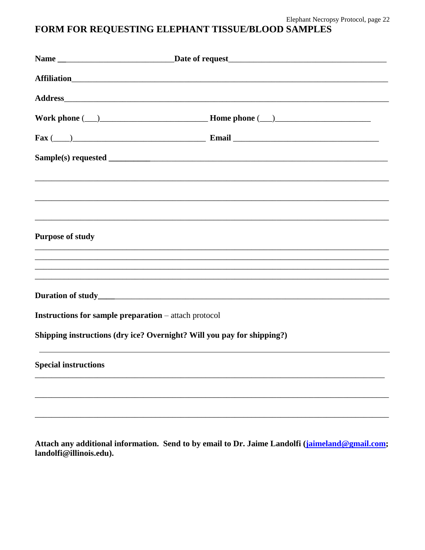## FORM FOR REQUESTING ELEPHANT TISSUE/BLOOD SAMPLES

|                                                                        | $\text{Fax} (\_\_\)$                                                              |
|------------------------------------------------------------------------|-----------------------------------------------------------------------------------|
|                                                                        |                                                                                   |
|                                                                        |                                                                                   |
|                                                                        |                                                                                   |
|                                                                        |                                                                                   |
| <b>Purpose of study</b>                                                |                                                                                   |
|                                                                        | ,我们也不能在这里的人,我们也不能在这里的人,我们也不能在这里的人,我们也不能在这里的人,我们也不能在这里的人,我们也不能在这里的人,我们也不能在这里的人,我们也 |
|                                                                        | ,我们也不能会有什么。""我们的人,我们也不能会有什么?""我们的人,我们也不能会有什么?""我们的人,我们也不能会有什么?""我们的人,我们也不能会有什么?"" |
|                                                                        |                                                                                   |
|                                                                        |                                                                                   |
| <b>Instructions for sample preparation</b> – attach protocol           |                                                                                   |
| Shipping instructions (dry ice? Overnight? Will you pay for shipping?) |                                                                                   |
| <b>Special instructions</b>                                            |                                                                                   |
|                                                                        |                                                                                   |
|                                                                        |                                                                                   |
|                                                                        |                                                                                   |

Attach any additional information. Send to by email to Dr. Jaime Landolfi (jaimeland@gmail.com; landolfi@illinois.edu).